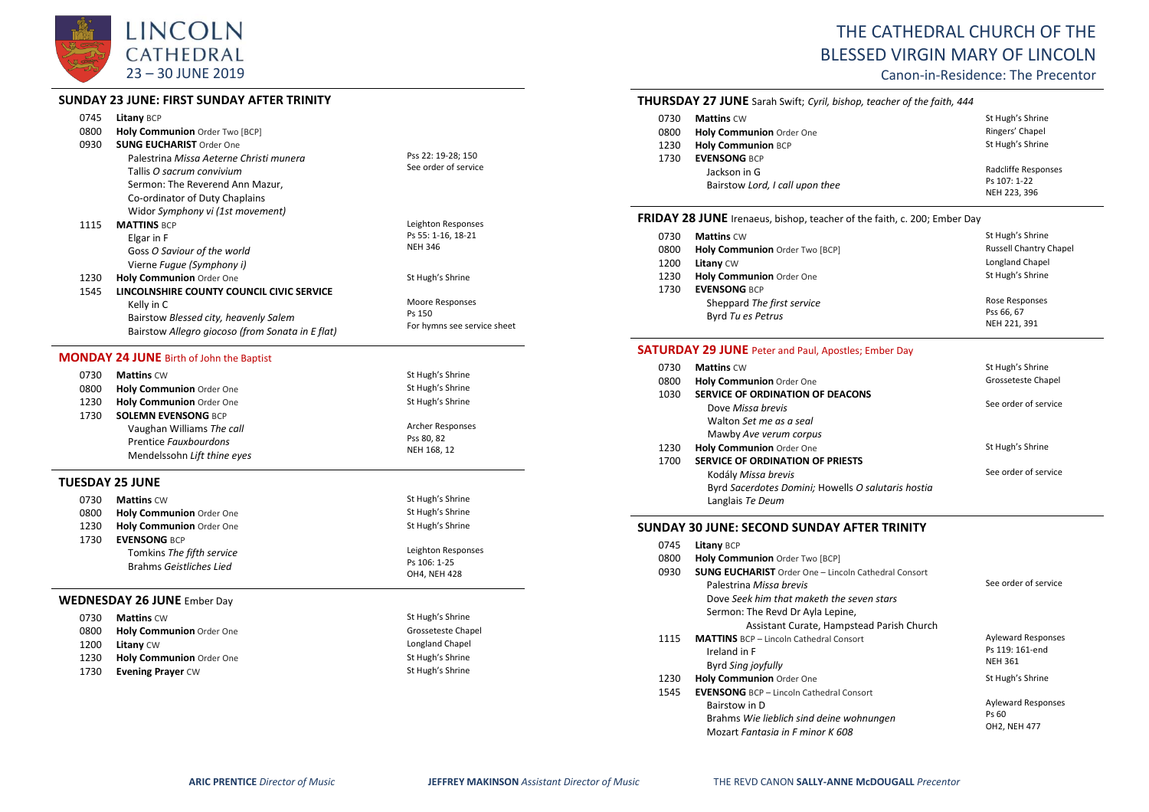

# **SUNDAY 23 JUNE: FIRST SUNDAY AFTER TRINITY**

|      | JUNUAI ZJJUNL. FINJI JUNUAI AFILIN II            |                             |
|------|--------------------------------------------------|-----------------------------|
| 0745 | Litany BCP                                       |                             |
| 0800 | Holy Communion Order Two [BCP]                   |                             |
| 0930 | <b>SUNG EUCHARIST Order One</b>                  |                             |
|      | Palestrina Missa Aeterne Christi munera          | Pss 22: 19-28; 150          |
|      | Tallis O sacrum convivium                        | See order of service        |
|      | Sermon: The Reverend Ann Mazur,                  |                             |
|      | Co-ordinator of Duty Chaplains                   |                             |
|      | Widor Symphony vi (1st movement)                 |                             |
| 1115 | <b>MATTINS BCP</b>                               | Leighton Responses          |
|      | Elgar in F                                       | Ps 55: 1-16, 18-21          |
|      | Goss O Saviour of the world                      | <b>NEH 346</b>              |
|      | Vierne Fugue (Symphony i)                        |                             |
| 1230 | Holy Communion Order One                         | St Hugh's Shrine            |
| 1545 | LINCOLNSHIRE COUNTY COUNCIL CIVIC SERVICE        |                             |
|      | Kelly in C                                       | Moore Responses             |
|      | Bairstow Blessed city, heavenly Salem            | Ps 150                      |
|      | Bairstow Allegro giocoso (from Sonata in E flat) | For hymns see service sheet |
|      | <b>MONDAY 24 JUNE Birth of John the Baptist</b>  |                             |
| 0730 | <b>Mattins CW</b>                                | St Hugh's Shrine            |
| 0800 | Holy Communion Order One                         | St Hugh's Shrine            |
| 1230 | Holy Communion Order One                         | St Hugh's Shrine            |
| 1730 | <b>SOLEMN EVENSONG BCP</b>                       |                             |
|      | Vaughan Williams The call                        | Archer Responses            |
|      | Prentice Fauxbourdons                            | Pss 80, 82                  |
|      | Mendelssohn Lift thine eyes                      | NEH 168, 12                 |
|      | TUESDAY 25 JUNE                                  |                             |
| 0730 | <b>Mattins CW</b>                                | St Hugh's Shrine            |
| 0800 | Holy Communion Order One                         | St Hugh's Shrine            |
| 1230 | Holy Communion Order One                         | St Hugh's Shrine            |
| 1730 | <b>EVENSONG BCP</b>                              |                             |
|      | Tomkins The fifth service                        | Leighton Responses          |
|      | Brahms Geistliches Lied                          | Ps 106: 1-25                |
|      |                                                  | OH4, NEH 428                |
|      | <b>WEDNESDAY 26 JUNE Ember Day</b>               |                             |
| 0730 | <b>Mattins CW</b>                                | St Hugh's Shrine            |
| 0800 | Holy Communion Order One                         | Grosseteste Chapel          |
| 1200 | Litany CW                                        | Longland Chapel             |
| 1230 | Holy Communion Order One                         | St Hugh's Shrine            |
| 1730 | <b>Evening Prayer CW</b>                         | St Hugh's Shrine            |
|      |                                                  |                             |

# THE CATHEDRAL CHURCH OF THE BLESSED VIRGIN MARY OF LINCOLN

Canon-in-Residence: The Precentor

|      | <b>THURSDAY 27 JUNE</b> Sarah Swift; Cyril, bishop, teacher of the faith, 444 |                  |
|------|-------------------------------------------------------------------------------|------------------|
| 0730 | <b>Mattins</b> CW                                                             | St Hugh's Shrine |

| 0800         | Holy Communion Order One        | Ringers' Chapel  |
|--------------|---------------------------------|------------------|
| 1230         | <b>Holy Communion BCP</b>       | St Hugh's Shrine |
| 1730         | <b>EVENSONG BCP</b>             |                  |
| Jackson in G | Radcliffe Responses             |                  |
|              | Bairstow Lord, I call upon thee | Ps 107: 1-22     |
|              |                                 | NEH 223, 396     |

# **FRIDAY 28 JUNE** Irenaeus, bishop, teacher of the faith, c. 200; Ember Day

| 0730 | <b>Mattins CW</b>              | St Hugh's Shrine              |
|------|--------------------------------|-------------------------------|
| 0800 | Holy Communion Order Two [BCP] | <b>Russell Chantry Chapel</b> |
| 1200 | Litany CW                      | Longland Chapel               |
| 1230 | Holy Communion Order One       | St Hugh's Shrine              |
| 1730 | <b>EVENSONG BCP</b>            |                               |
|      | Sheppard The first service     | Rose Responses                |
|      | Byrd Tu es Petrus              | Pss 66, 67                    |
|      |                                | NEH 221, 391                  |

# **SATURDAY 29 JUNE** Peter and Paul, Apostles; Ember Day

| 0730 | <b>Mattins CW</b>                                  | St Hugh's Shrine     |
|------|----------------------------------------------------|----------------------|
| 0800 | Holy Communion Order One                           | Grosseteste Chapel   |
| 1030 | SERVICE OF ORDINATION OF DEACONS                   |                      |
|      | Dove Missa brevis                                  | See order of service |
|      | Walton Set me as a seal                            |                      |
|      | Mawby Ave verum corpus                             |                      |
| 1230 | Holy Communion Order One                           | St Hugh's Shrine     |
| 1700 | <b>SERVICE OF ORDINATION OF PRIESTS</b>            |                      |
|      | Kodály Missa brevis                                | See order of service |
|      | Byrd Sacerdotes Domini; Howells O salutaris hostia |                      |
|      | Langlais Te Deum                                   |                      |

## **SUNDAY 30 JUNE: SECOND SUNDAY AFTER TRINITY**

| 0745<br>0800<br>0930 | <b>Litany BCP</b><br>Holy Communion Order Two [BCP]<br><b>SUNG EUCHARIST</b> Order One - Lincoln Cathedral Consort<br>Palestrina Missa brevis<br>Dove Seek him that maketh the seven stars<br>Sermon: The Revd Dr Ayla Lepine,<br>Assistant Curate, Hampstead Parish Church | See order of service                                           |
|----------------------|-----------------------------------------------------------------------------------------------------------------------------------------------------------------------------------------------------------------------------------------------------------------------------|----------------------------------------------------------------|
| 1115                 | <b>MATTINS</b> BCP - Lincoln Cathedral Consort<br>Ireland in F<br>Byrd Sing joyfully                                                                                                                                                                                        | <b>Ayleward Responses</b><br>Ps 119: 161-end<br><b>NEH 361</b> |
| 1230                 | <b>Holy Communion Order One</b>                                                                                                                                                                                                                                             | St Hugh's Shrine                                               |
| 1545                 | <b>EVENSONG</b> BCP - Lincoln Cathedral Consort<br>Bairstow in D<br>Brahms Wie lieblich sind deine wohnungen<br>Mozart Fantasia in F minor K 608                                                                                                                            | <b>Ayleward Responses</b><br>Ps 60<br>OH2, NEH 477             |